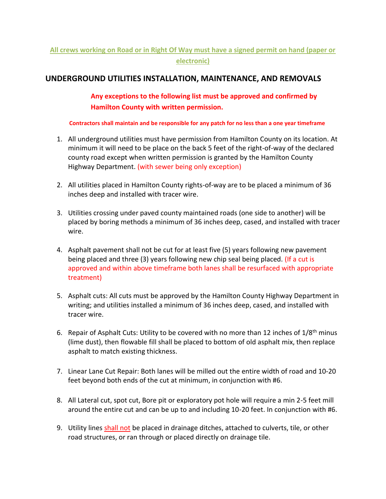## **All crews working on Road or in Right Of Way must have a signed permit on hand (paper or electronic)**

## **UNDERGROUND UTILITIES INSTALLATION, MAINTENANCE, AND REMOVALS**

**Any exceptions to the following list must be approved and confirmed by Hamilton County with written permission.**

 **Contractors shall maintain and be responsible for any patch for no less than a one year timeframe**

- 1. All underground utilities must have permission from Hamilton County on its location. At minimum it will need to be place on the back 5 feet of the right-of-way of the declared county road except when written permission is granted by the Hamilton County Highway Department. (with sewer being only exception)
- 2. All utilities placed in Hamilton County rights-of-way are to be placed a minimum of 36 inches deep and installed with tracer wire.
- 3. Utilities crossing under paved county maintained roads (one side to another) will be placed by boring methods a minimum of 36 inches deep, cased, and installed with tracer wire.
- 4. Asphalt pavement shall not be cut for at least five (5) years following new pavement being placed and three (3) years following new chip seal being placed. (If a cut is approved and within above timeframe both lanes shall be resurfaced with appropriate treatment)
- 5. Asphalt cuts: All cuts must be approved by the Hamilton County Highway Department in writing; and utilities installed a minimum of 36 inches deep, cased, and installed with tracer wire.
- 6. Repair of Asphalt Cuts: Utility to be covered with no more than 12 inches of  $1/8<sup>th</sup>$  minus (lime dust), then flowable fill shall be placed to bottom of old asphalt mix, then replace asphalt to match existing thickness.
- 7. Linear Lane Cut Repair: Both lanes will be milled out the entire width of road and 10-20 feet beyond both ends of the cut at minimum, in conjunction with #6.
- 8. All Lateral cut, spot cut, Bore pit or exploratory pot hole will require a min 2-5 feet mill around the entire cut and can be up to and including 10-20 feet. In conjunction with #6.
- 9. Utility lines shall not be placed in drainage ditches, attached to culverts, tile, or other road structures, or ran through or placed directly on drainage tile.